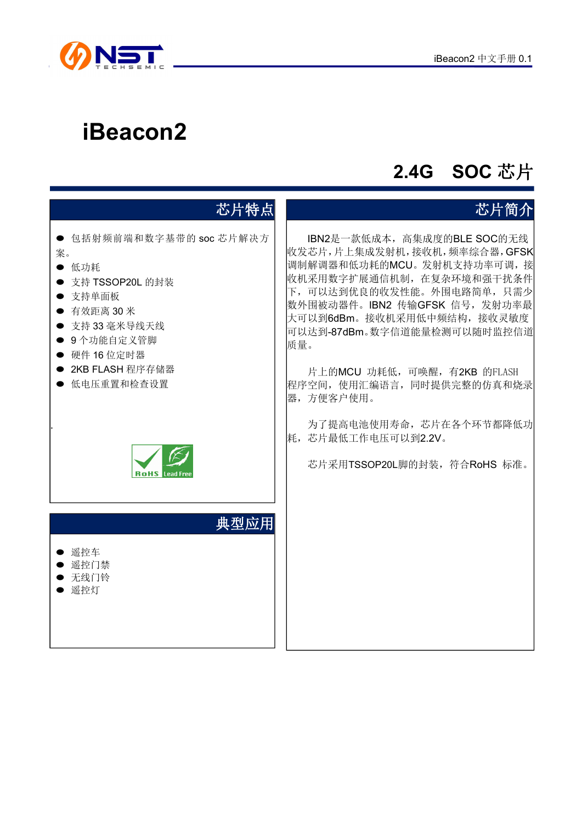

# **iBeacon2**

# **2.4G SOC** 芯片

| 芯片特点                                                                                                                                                                                                  | 芯片简介                                                                                                                                                                                                                                                                                                                                                                                                                |
|-------------------------------------------------------------------------------------------------------------------------------------------------------------------------------------------------------|---------------------------------------------------------------------------------------------------------------------------------------------------------------------------------------------------------------------------------------------------------------------------------------------------------------------------------------------------------------------------------------------------------------------|
| ● 包括射频前端和数字基带的 soc 芯片解决方<br>案。<br>● 低功耗<br>● 支持 TSSOP20L 的封装<br>● 支持单面板<br>● 有效距离 30 米<br>● 支持 33 毫米导线天线<br>● 9个功能自定义管脚<br>● 硬件 16 位定时器<br>● 2KB FLASH 程序存储器<br>● 低电压重置和检查设置<br><b>RoHS</b> Lead Free | IBN2是一款低成本, 高集成度的BLE SOC的无线<br>收发芯片,片上集成发射机,接收机,频率综合器,GFSK<br>调制解调器和低功耗的MCU。发射机支持功率可调,接<br>收机采用数字扩展通信机制, 在复杂环境和强干扰条件<br>下, 可以达到优良的收发性能。外围电路简单, 只需少<br>数外围被动器件。IBN2 传输GFSK 信号, 发射功率最<br>大可以到6dBm。接收机采用低中频结构,接收灵敏度<br>可以达到-87dBm。数字信道能量检测可以随时监控信道<br>质量。<br>片上的MCU 功耗低, 可唤醒, 有2KB 的FLASH<br>程序空间, 使用汇编语言, 同时提供完整的仿真和烧录<br>器,方便客户使用。<br>为了提高电池使用寿命, 芯片在各个环节都降低功<br>耗, 芯片最低工作电压可以到2.2V。<br>芯片采用TSSOP20L脚的封装, 符合RoHS 标准。 |
| 典型应用<br>● 遥控车<br>● 遥控门禁<br>● 无线门铃<br>● 遥控灯                                                                                                                                                            |                                                                                                                                                                                                                                                                                                                                                                                                                     |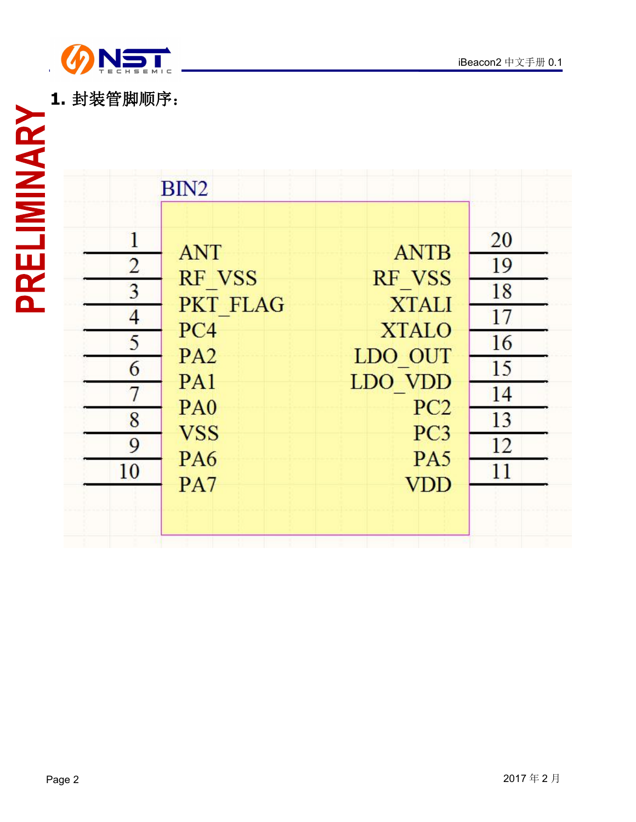

|                                                                                                     | BIN <sub>2</sub>                                                                                                                                |                                                                                                                                        |                                                          |
|-----------------------------------------------------------------------------------------------------|-------------------------------------------------------------------------------------------------------------------------------------------------|----------------------------------------------------------------------------------------------------------------------------------------|----------------------------------------------------------|
| PRELIMINARY<br>$\mathbf{1}$<br>$\overline{2}$<br>3<br>$\overline{4}$<br>5<br>6<br>7<br>8<br>9<br>10 | <b>ANT</b><br>RF VSS<br><b>PKT FLAG</b><br>PC4<br>PA <sub>2</sub><br>PA <sub>1</sub><br>P <sub>A0</sub><br><b>VSS</b><br>PA <sub>6</sub><br>PA7 | <b>ANTB</b><br>RF VSS<br><b>XTALI</b><br><b>XTALO</b><br>LDO OUT<br>LDO VDD<br>PC <sub>2</sub><br>PC <sub>3</sub><br>PA5<br><b>VDD</b> | 20<br>19<br>18<br>17<br>16<br>15<br>14<br>13<br>12<br>11 |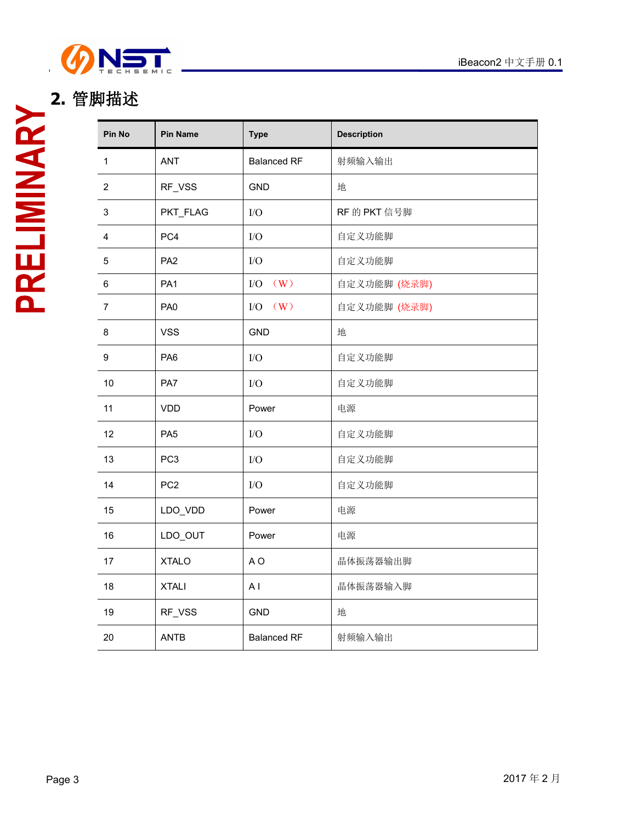

# **2.** 管脚描述

| Pin No                  | <b>Pin Name</b> | <b>Type</b>        | <b>Description</b> |  |  |  |  |
|-------------------------|-----------------|--------------------|--------------------|--|--|--|--|
| $\mathbf{1}$            | ANT             | <b>Balanced RF</b> | 射频输入输出             |  |  |  |  |
| $\overline{2}$          | RF_VSS          | <b>GND</b>         | 地                  |  |  |  |  |
| $\mathsf 3$             | PKT_FLAG        | I/O                | RF 的 PKT 信号脚       |  |  |  |  |
| $\overline{\mathbf{4}}$ | PC4             | ${\rm I/O}$        | 自定义功能脚             |  |  |  |  |
| $\,$ 5 $\,$             | PA <sub>2</sub> | ${\rm I/O}$        | 自定义功能脚             |  |  |  |  |
| 6                       | PA <sub>1</sub> | $I/O$ $(W)$        | 自定义功能脚 (烧录脚)       |  |  |  |  |
| $\overline{7}$          | PA <sub>0</sub> | $I/O$ $(W)$        | 自定义功能脚 (烧录脚)       |  |  |  |  |
| 8                       | <b>VSS</b>      | <b>GND</b>         | 地                  |  |  |  |  |
| 9                       | PA <sub>6</sub> | I/O                | 自定义功能脚             |  |  |  |  |
| 10                      | PA7             | ${\rm I/O}$        | 自定义功能脚             |  |  |  |  |
| 11                      | <b>VDD</b>      | Power              | 电源                 |  |  |  |  |
| 12                      | PA <sub>5</sub> | $\rm I/O$          | 自定义功能脚             |  |  |  |  |
| 13                      | PC <sub>3</sub> | ${\rm I/O}$        | 自定义功能脚             |  |  |  |  |
| 14                      | PC <sub>2</sub> | ${\rm I/O}$        | 自定义功能脚             |  |  |  |  |
| 15                      | LDO_VDD         | Power              | 电源                 |  |  |  |  |
| 16                      | LDO_OUT         | Power              | 电源                 |  |  |  |  |
| 17                      | <b>XTALO</b>    | A <sub>O</sub>     | 晶体振荡器输出脚           |  |  |  |  |
| 18                      | <b>XTALI</b>    | AI                 | 晶体振荡器输入脚           |  |  |  |  |
| 19                      | RF_VSS          | GND                | 地                  |  |  |  |  |
| 20                      | <b>ANTB</b>     | <b>Balanced RF</b> | 射频输入输出             |  |  |  |  |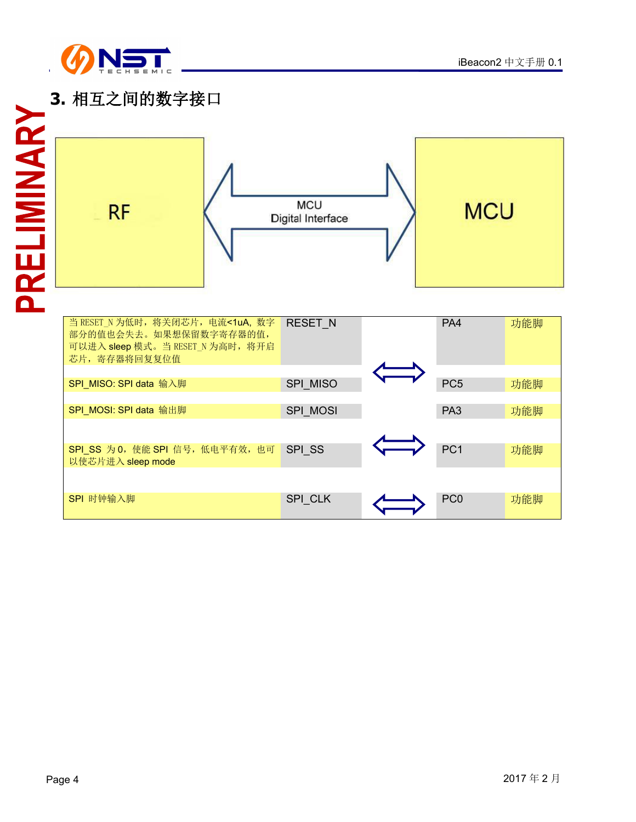

### **3.** 相互之间的数字接口

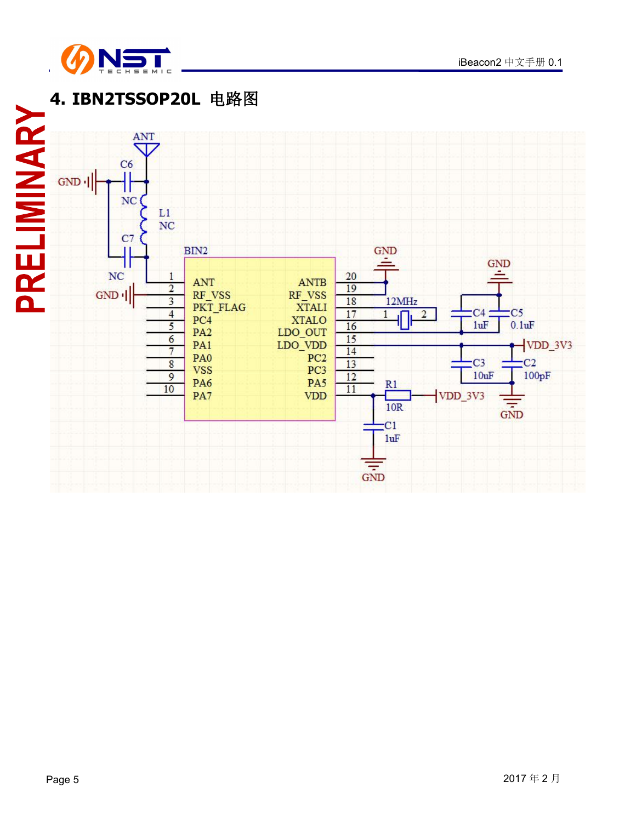

# **4. IBN2TSSOP20L** 电路图

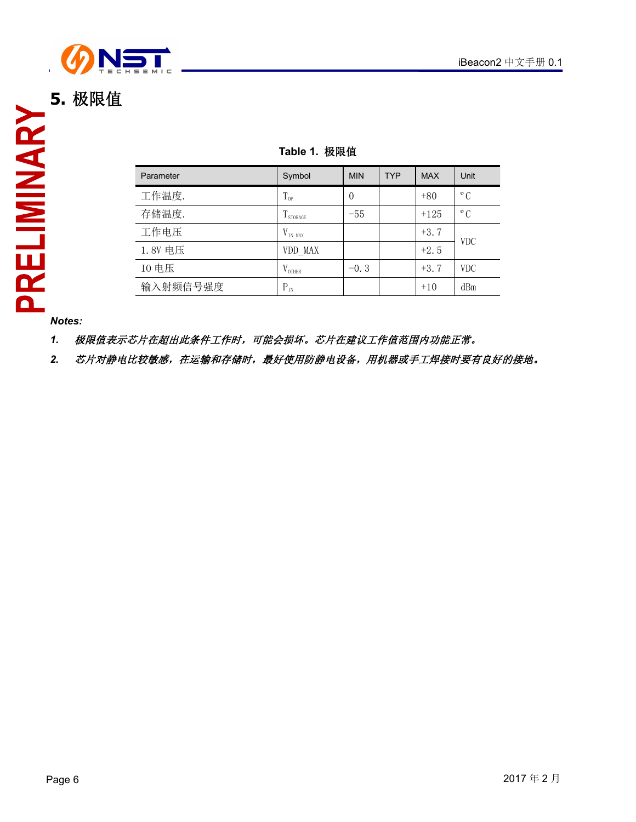

### **Table 1.** 极限值

| Parameter | Symbol             | <b>MIN</b> | <b>TYP</b> | <b>MAX</b> | Unit         |  |
|-----------|--------------------|------------|------------|------------|--------------|--|
| 工作温度.     | $T_{op}$           | $\theta$   |            | $+80$      | $\rm ^{o}$ C |  |
| 存储温度.     | I STORAGE          | $-55$      |            | $+125$     | $\rm ^{o}$ C |  |
| 工作电压      | $V_{IN\_MAX}$      |            |            | $+3.7$     |              |  |
| 1.8V 电压   | VDD MAX            |            |            | $+2.5$     | <b>VDC</b>   |  |
| 10 电压     | $V_{\text{OTHER}}$ | $-0.3$     |            | $+3.7$     | <b>VDC</b>   |  |
| 输入射频信号强度  | $P_{IN}$           |            |            | $+10$      | dBm          |  |

*Notes:*

*1.* 极限值表示芯片在超出此条件工作时,可能会损坏。芯片在建议工作值范围内功能正常。

2. 芯片对静电比较敏感,在运输和存储时,最好使用防静电设备,用机器或手工焊接时要有良好的接地。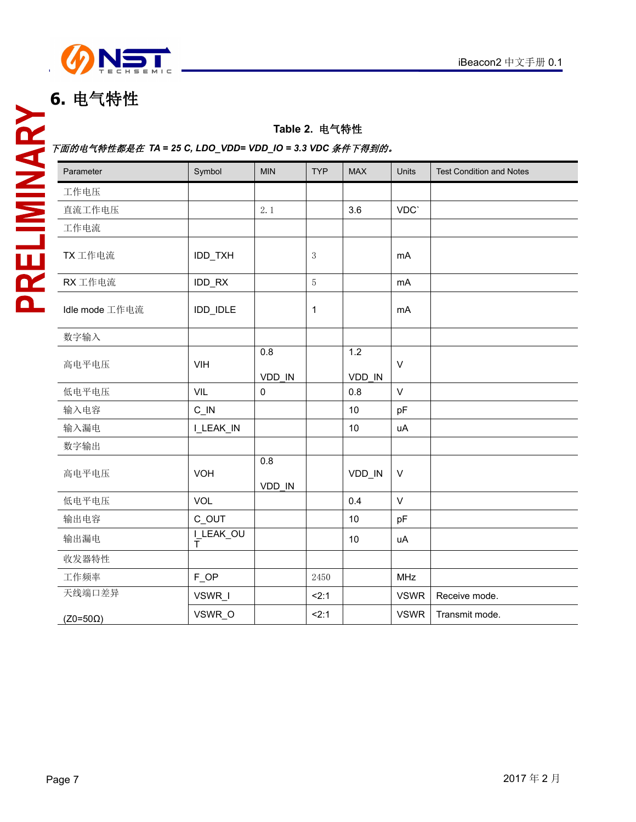

## **6.** 电气特性

### **Table 2.** 电气特性

#### 下面的电气特性都是在 *TA = 25 C, LDO\_VDD= VDD\_IO = 3.3 VDC* 条件下得到的。

| Parameter       | Symbol                   | <b>MIN</b>          | <b>TYP</b>     | <b>MAX</b>    | Units        | <b>Test Condition and Notes</b> |
|-----------------|--------------------------|---------------------|----------------|---------------|--------------|---------------------------------|
| 工作电压            |                          |                     |                |               |              |                                 |
| 直流工作电压          |                          | 2.1                 |                | 3.6           | VDC'         |                                 |
| 工作电流            |                          |                     |                |               |              |                                 |
| TX 工作电流         | IDD_TXH                  |                     | $\sqrt{3}$     |               | mA           |                                 |
| RX 工作电流         | IDD_RX                   |                     | $\overline{5}$ |               | mA           |                                 |
| Idle mode 工作电流  | IDD_IDLE                 |                     | 1              |               | mA           |                                 |
| 数字输入            |                          |                     |                |               |              |                                 |
| 高电平电压           | <b>VIH</b>               | 0.8<br>VDD IN       |                | 1.2<br>VDD IN | $\vee$       |                                 |
| 低电平电压           | VIL                      | $\mathsf{O}\xspace$ |                | 0.8           | $\vee$       |                                 |
| 输入电容            | $C$ $N$                  |                     |                | 10            | pF           |                                 |
| 输入漏电            | I_LEAK_IN                |                     |                | 10            | uA           |                                 |
| 数字输出            |                          |                     |                |               |              |                                 |
| 高电平电压           | <b>VOH</b>               | 0.8<br>VDD IN       |                | VDD_IN        | $\vee$       |                                 |
| 低电平电压           | VOL                      |                     |                | 0.4           | $\mathsf{V}$ |                                 |
| 输出电容            | C_OUT                    |                     |                | 10            | pF           |                                 |
| 输出漏电            | $I$ <sub>T</sub> LEAK_OU |                     |                | 10            | uA           |                                 |
| 收发器特性           |                          |                     |                |               |              |                                 |
| 工作频率            | FOP                      |                     | 2450           |               | <b>MHz</b>   |                                 |
| 天线端口差异          | VSWR_I                   |                     | 2:1            |               | <b>VSWR</b>  | Receive mode.                   |
| $(Z0=50\Omega)$ | VSWR_O                   |                     | 2:1            |               | <b>VSWR</b>  | Transmit mode.                  |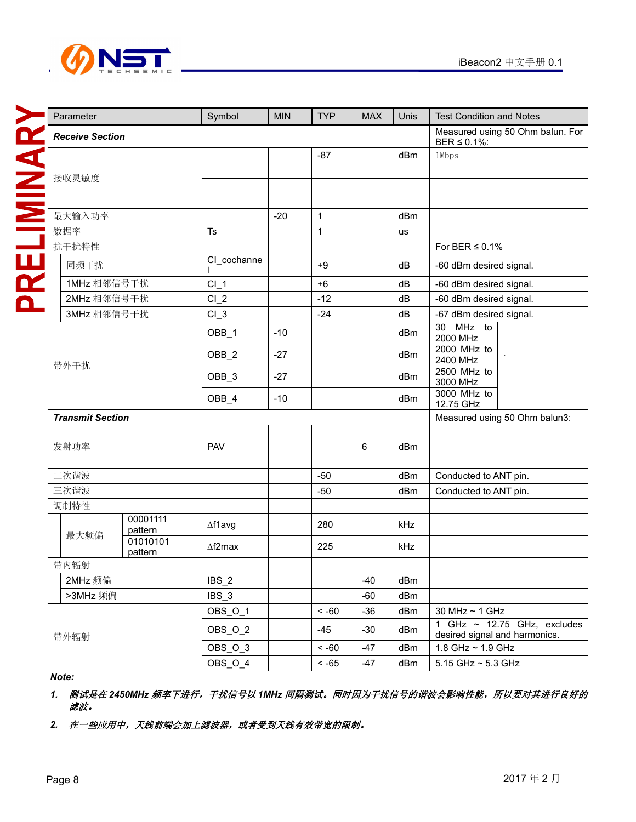

| Parameter               |                     | Symbol               | <b>MIN</b> | <b>TYP</b>   | <b>MAX</b> | Unis | <b>Test Condition and Notes</b>                                                 |  |  |
|-------------------------|---------------------|----------------------|------------|--------------|------------|------|---------------------------------------------------------------------------------|--|--|
| <b>Receive Section</b>  |                     |                      |            |              |            |      | Measured using 50 Ohm balun. For<br>BER $\leq$ 0.1%:                            |  |  |
|                         |                     |                      |            | $-87$        |            | dBm  | 1Mbps                                                                           |  |  |
| 接收灵敏度                   |                     |                      |            |              |            |      |                                                                                 |  |  |
|                         |                     |                      |            |              |            |      |                                                                                 |  |  |
| 最大输入功率                  |                     |                      | $-20$      | 1            |            | dBm  |                                                                                 |  |  |
| 数据率                     |                     | $\mathsf T\mathsf s$ |            | $\mathbf 1$  |            | us   |                                                                                 |  |  |
| 抗干扰特性                   |                     |                      |            |              |            |      | For BER $\leq$ 0.1%                                                             |  |  |
| 同频干扰                    |                     | CI_cochanne          |            | $+9$         |            | dB   | -60 dBm desired signal.                                                         |  |  |
| 1MHz 相邻信号干扰             |                     | $CI_1$               |            | $+6$         |            | dB   | -60 dBm desired signal.                                                         |  |  |
| 2MHz 相邻信号干扰             |                     | $Cl_2$               |            | $-12$        |            | dB   | -60 dBm desired signal.                                                         |  |  |
| 3MHz 相邻信号干扰             |                     | $Cl_3$               |            | $-24$        |            | dB   | -67 dBm desired signal.                                                         |  |  |
| 带外干扰                    |                     | OBB_1                | $-10$      |              |            | dBm  | 30 MHz to<br>2000 MHz                                                           |  |  |
|                         |                     | OBB_2                | $-27$      |              |            | dBm  | 2000 MHz to<br>2400 MHz                                                         |  |  |
|                         |                     | OBB_3                | $-27$      |              |            | dBm  | 2500 MHz to<br>3000 MHz                                                         |  |  |
|                         |                     | OBB_4                | $-10$      |              |            | dBm  | 3000 MHz to<br>12.75 GHz                                                        |  |  |
| <b>Transmit Section</b> |                     |                      |            |              |            |      | Measured using 50 Ohm balun3:                                                   |  |  |
| 发射功率                    |                     | PAV                  |            |              | $\,6\,$    | dBm  |                                                                                 |  |  |
| 二次谐波                    |                     |                      |            | $-50$        |            | dBm  | Conducted to ANT pin.                                                           |  |  |
| 三次谐波                    |                     |                      |            | $-50$        |            | dBm  | Conducted to ANT pin.                                                           |  |  |
| 调制特性                    |                     |                      |            |              |            |      |                                                                                 |  |  |
| 最大频偏                    | 00001111<br>pattern | $\Delta$ f1avg       |            | 280          |            | kHz  |                                                                                 |  |  |
|                         | 01010101<br>pattern | $\Delta f2$ max      |            | 225          |            | kHz  |                                                                                 |  |  |
| 带内辐射                    |                     |                      |            |              |            |      |                                                                                 |  |  |
| 2MHz 频偏                 |                     | $IBS_2$              |            |              | $-40$      | dBm  |                                                                                 |  |  |
| >3MHz 频偏                |                     | IBS_3                |            |              | $-60$      | dBm  |                                                                                 |  |  |
|                         |                     | OBS_O_1              |            | $~<$ -60     | $-36$      | dBm  | 30 MHz ~ 1 GHz                                                                  |  |  |
| 带外辐射                    |                     | OBS_O_2              |            | $-45$        | $-30$      | dBm  | GHz $\sim$ 12.75 GHz, excludes<br>$\mathbf{1}$<br>desired signal and harmonics. |  |  |
|                         |                     | OBS_O_3              |            | $~100 - 50$  | $-47$      | dBm  | 1.8 GHz ~ 1.9 GHz                                                               |  |  |
|                         |                     | OBS_O_4              |            | $<$ -65 $\,$ | $-47$      | dBm  | 5.15 GHz ~ 5.3 GHz                                                              |  |  |

*Note:*

*1.* 测试是在 *2450MHz* 频率下进行,干扰信号以 *1MHz* 间隔测试。同时因为干扰信号的谐波会影响性能,所以要对其进行良好的 滤波。

2. 在一些应用中,天线前端会加上滤波器,或者受到天线有效带宽的限制。